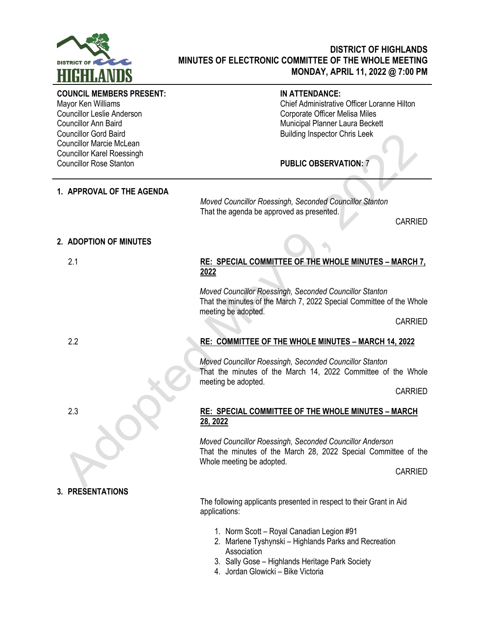

# **DISTRICT OF HIGHLANDS MINUTES OF ELECTRONIC COMMITTEE OF THE WHOLE MEETING MONDAY, APRIL 11, 2022 @ 7:00 PM**

#### **COUNCIL MEMBERS PRESENT:**

Mayor Ken Williams Councillor Leslie Anderson Councillor Ann Baird Councillor Gord Baird Councillor Marcie McLean Councillor Karel Roessingh Councillor Rose Stanton

# **IN ATTENDANCE:**

Chief Administrative Officer Loranne Hilton Corporate Officer Melisa Miles Municipal Planner Laura Beckett Building Inspector Chris Leek

**PUBLIC OBSERVATION:** 7

# **1. APPROVAL OF THE AGENDA**

*Moved Councillor Roessingh, Seconded Councillor Stanton* That the agenda be approved as presented.

CARRIED

### **2. ADOPTION OF MINUTES**

# 2.1 **RE: SPECIAL COMMITTEE OF THE WHOLE MINUTES – MARCH 7, 2022**

*Moved Councillor Roessingh, Seconded Councillor Stanton* That the minutes of the March 7, 2022 Special Committee of the Whole meeting be adopted.

CARRIED

# 2.2 **RE: COMMITTEE OF THE WHOLE MINUTES – MARCH 14, 2022**

*Moved Councillor Roessingh, Seconded Councillor Stanton* That the minutes of the March 14, 2022 Committee of the Whole meeting be adopted.

CARRIED

### 2.3 **RE: SPECIAL COMMITTEE OF THE WHOLE MINUTES – MARCH 28, 2022**

*Moved Councillor Roessingh, Seconded Councillor Anderson* That the minutes of the March 28, 2022 Special Committee of the Whole meeting be adopted.

CARRIED

# **3. PRESENTATIONS**

The following applicants presented in respect to their Grant in Aid applications:

- 1. Norm Scott Royal Canadian Legion #91
- 2. Marlene Tyshynski Highlands Parks and Recreation Association
- 3. Sally Gose Highlands Heritage Park Society
- 4. Jordan Glowicki Bike Victoria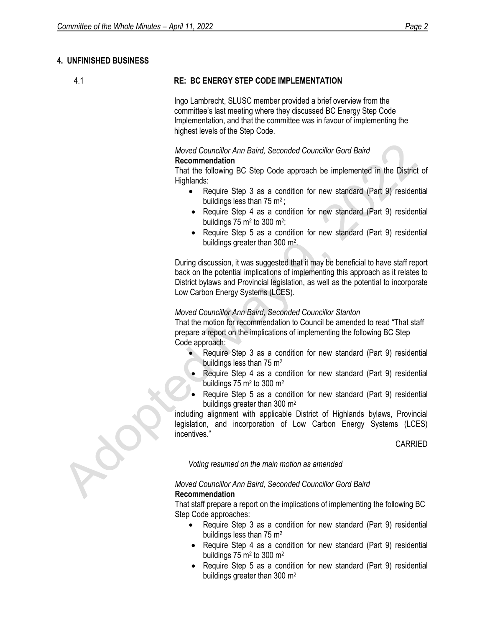# **4. UNFINISHED BUSINESS**

# 4.1 **RE: BC ENERGY STEP CODE IMPLEMENTATION**

Ingo Lambrecht, SLUSC member provided a brief overview from the committee's last meeting where they discussed BC Energy Step Code Implementation, and that the committee was in favour of implementing the highest levels of the Step Code.

# *Moved Councillor Ann Baird, Seconded Councillor Gord Baird*

### **Recommendation**

That the following BC Step Code approach be implemented in the District of Highlands:

- Require Step 3 as a condition for new standard (Part 9) residential buildings less than 75  $m^2$ ;
- Require Step 4 as a condition for new standard (Part 9) residential buildings  $75 \text{ m}^2$  to  $300 \text{ m}^2$ ;
- Require Step 5 as a condition for new standard (Part 9) residential buildings greater than 300 m<sup>2</sup>.

During discussion, it was suggested that it may be beneficial to have staff report back on the potential implications of implementing this approach as it relates to District bylaws and Provincial legislation, as well as the potential to incorporate Low Carbon Energy Systems (LCES).

# *Moved Councillor Ann Baird, Seconded Councillor Stanton*

That the motion for recommendation to Council be amended to read "That staff prepare a report on the implications of implementing the following BC Step Code approach:

- Require Step 3 as a condition for new standard (Part 9) residential buildings less than 75 m<sup>2</sup>
- Require Step 4 as a condition for new standard (Part 9) residential buildings 75 m<sup>2</sup> to 300 m<sup>2</sup>
- Require Step 5 as a condition for new standard (Part 9) residential buildings greater than 300 m<sup>2</sup>

including alignment with applicable District of Highlands bylaws, Provincial legislation, and incorporation of Low Carbon Energy Systems (LCES) incentives."

CARRIED

*Voting resumed on the main motion as amended*

### *Moved Councillor Ann Baird, Seconded Councillor Gord Baird* **Recommendation**

That staff prepare a report on the implications of implementing the following BC Step Code approaches:

- Require Step 3 as a condition for new standard (Part 9) residential buildings less than 75 m<sup>2</sup>
- Require Step 4 as a condition for new standard (Part 9) residential buildings  $75 \text{ m}^2$  to 300 m<sup>2</sup>
- Require Step 5 as a condition for new standard (Part 9) residential buildings greater than 300 m2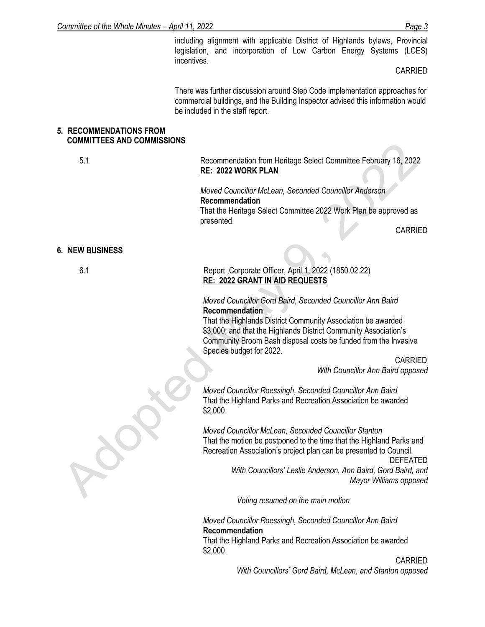including alignment with applicable District of Highlands bylaws, Provincial legislation, and incorporation of Low Carbon Energy Systems (LCES) incentives.

CARRIED

There was further discussion around Step Code implementation approaches for commercial buildings, and the Building Inspector advised this information would be included in the staff report.

### **5. RECOMMENDATIONS FROM COMMITTEES AND COMMISSIONS**

5.1 Recommendation from Heritage Select Committee February 16, 2022 **RE: 2022 WORK PLAN**

> *Moved Councillor McLean, Seconded Councillor Anderson* **Recommendation** That the Heritage Select Committee 2022 Work Plan be approved as presented.

CARRIED

#### **6. NEW BUSINESS**

| ٠<br>v  | I<br>×. |
|---------|---------|
| ٦<br>۰. |         |

# 6.1 Report ,Corporate Officer, April 1, 2022 (1850.02.22) **RE: 2022 GRANT IN AID REQUESTS**

#### *Moved Councillor Gord Baird, Seconded Councillor Ann Baird* **Recommendation**

That the Highlands District Community Association be awarded \$3,000; and that the Highlands District Community Association's Community Broom Bash disposal costs be funded from the Invasive Species budget for 2022.

CARRIED

*With Councillor Ann Baird opposed*

*Moved Councillor Roessingh, Seconded Councillor Ann Baird* That the Highland Parks and Recreation Association be awarded \$2,000.

*Moved Councillor McLean, Seconded Councillor Stanton* That the motion be postponed to the time that the Highland Parks and Recreation Association's project plan can be presented to Council.

> DEFEATED  *With Councillors' Leslie Anderson, Ann Baird, Gord Baird, and Mayor Williams opposed*

 *Voting resumed on the main motion*

*Moved Councillor Roessingh, Seconded Councillor Ann Baird* **Recommendation** That the Highland Parks and Recreation Association be awarded

\$2,000. CARRIED

*With Councillors' Gord Baird, McLean, and Stanton opposed*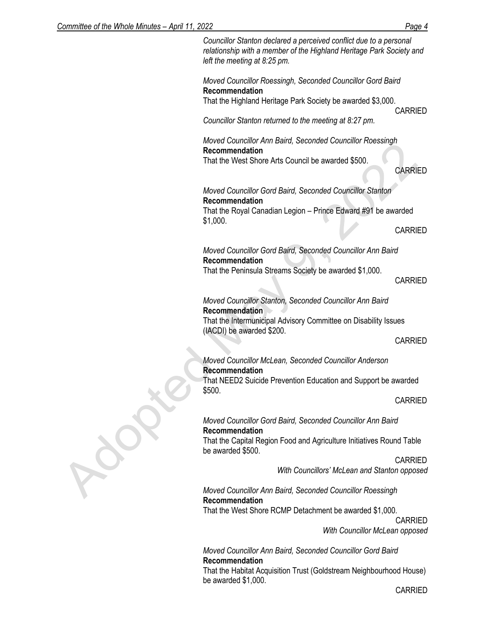| <u>JUINININGE OF THE WINDIE MINUTES – ADITE FIT, ZUZZ</u> |                                                                                                                                                                            | <u>raye 4</u>  |
|-----------------------------------------------------------|----------------------------------------------------------------------------------------------------------------------------------------------------------------------------|----------------|
|                                                           | Councillor Stanton declared a perceived conflict due to a personal<br>relationship with a member of the Highland Heritage Park Society and<br>left the meeting at 8:25 pm. |                |
|                                                           | Moved Councillor Roessingh, Seconded Councillor Gord Baird<br>Recommendation                                                                                               |                |
|                                                           | That the Highland Heritage Park Society be awarded \$3,000.                                                                                                                | <b>CARRIED</b> |
|                                                           | Councillor Stanton returned to the meeting at 8:27 pm.                                                                                                                     |                |
|                                                           | Moved Councillor Ann Baird, Seconded Councillor Roessingh<br>Recommendation<br>That the West Shore Arts Council be awarded \$500.                                          | <b>CARRIED</b> |
|                                                           | Moved Councillor Gord Baird, Seconded Councillor Stanton<br>Recommendation<br>That the Royal Canadian Legion - Prince Edward #91 be awarded<br>\$1,000.                    |                |
|                                                           |                                                                                                                                                                            |                |
|                                                           |                                                                                                                                                                            | <b>CARRIED</b> |
|                                                           | Moved Councillor Gord Baird, Seconded Councillor Ann Baird<br>Recommendation                                                                                               |                |
|                                                           | That the Peninsula Streams Society be awarded \$1,000.                                                                                                                     | <b>CARRIED</b> |
|                                                           | Moved Councillor Stanton, Seconded Councillor Ann Baird<br>Recommendation                                                                                                  |                |
|                                                           | That the Intermunicipal Advisory Committee on Disability Issues<br>(IACDI) be awarded \$200.                                                                               |                |
|                                                           |                                                                                                                                                                            | <b>CARRIED</b> |
|                                                           | Moved Councillor McLean, Seconded Councillor Anderson<br>Recommendation                                                                                                    |                |
|                                                           | That NEED2 Suicide Prevention Education and Support be awarded<br>\$500.                                                                                                   |                |
|                                                           |                                                                                                                                                                            | <b>CARRIED</b> |
|                                                           | Moved Councillor Gord Baird, Seconded Councillor Ann Baird<br>Recommendation                                                                                               |                |
|                                                           | That the Capital Region Food and Agriculture Initiatives Round Table<br>be awarded \$500.                                                                                  |                |
|                                                           | With Councillors' McLean and Stanton opposed                                                                                                                               | <b>CARRIED</b> |
|                                                           | Moved Councillor Ann Baird, Seconded Councillor Roessingh                                                                                                                  |                |

# *Moved Councillor Ann Baird, Seconded Councillor Roessingh* **Recommendation**

That the West Shore RCMP Detachment be awarded \$1,000.

CARRIED *With Councillor McLean opposed*

*Moved Councillor Ann Baird, Seconded Councillor Gord Baird* **Recommendation**

That the Habitat Acquisition Trust (Goldstream Neighbourhood House) be awarded \$1,000.